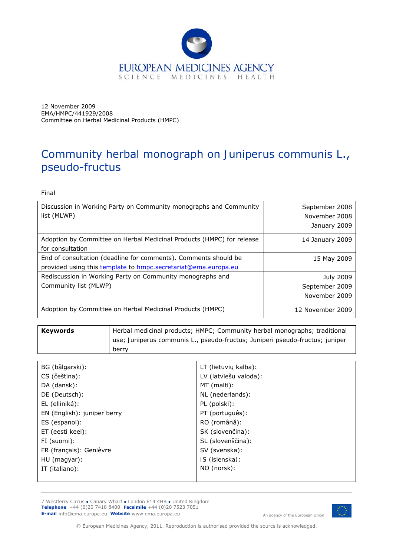

12 November 2009 EMA/HMPC/441929/2008 Committee on Herbal Medicinal Products (HMPC)

# Community herbal monograph on *Juniperus communis* L., pseudo-fructus

Final

| Discussion in Working Party on Community monographs and Community<br>list (MLWP)                                                  | September 2008<br>November 2008<br>January 2009     |
|-----------------------------------------------------------------------------------------------------------------------------------|-----------------------------------------------------|
| Adoption by Committee on Herbal Medicinal Products (HMPC) for release<br>for consultation                                         | 14 January 2009                                     |
| End of consultation (deadline for comments). Comments should be<br>provided using this template to hmpc.secretariat@ema.europa.eu | 15 May 2009                                         |
| Rediscussion in Working Party on Community monographs and<br>Community list (MLWP)                                                | <b>July 2009</b><br>September 2009<br>November 2009 |
| Adoption by Committee on Herbal Medicinal Products (HMPC)                                                                         | 12 November 2009                                    |

| Kevwords | Herbal medicinal products; HMPC; Community herbal monographs; traditional    |
|----------|------------------------------------------------------------------------------|
|          | use; Juniperus communis L., pseudo-fructus; Juniperi pseudo-fructus; juniper |
|          | berry                                                                        |

| BG (bălgarski):             | LT (lietuvių kalba):  |
|-----------------------------|-----------------------|
| CS (čeština):               | LV (latviešu valoda): |
| DA (dansk):                 | MT (malti):           |
| DE (Deutsch):               | NL (nederlands):      |
| EL (elliniká):              | PL (polski):          |
| EN (English): juniper berry | PT (português):       |
| ES (espanol):               | RO (română):          |
| ET (eesti keel):            | SK (slovenčina):      |
| FI (suomi):                 | SL (slovenščina):     |
| FR (français): Genièvre     | SV (svenska):         |
| HU (magyar):                | IS (íslenska):        |
| IT (italiano):              | NO (norsk):           |
|                             |                       |

7 Westferry Circus **●** Canary Wharf **●** London E14 4HB **●** United Kingdom **Telephone** +44 (0)20 7418 8400 **Facsimile** +44 (0)20 7523 7051 **E-mail** info@ema.europa.eu **Website** www.ema.europa.eu An agency of the European Union



© European Medicines Agency, 2011. Reproduction is authorised provided the source is acknowledged.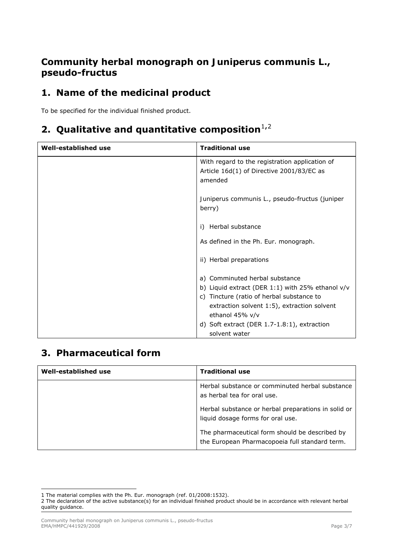## **Community herbal monograph on** *Juniperus communis* **L., pseudo-fructus**

# **1. Name of the medicinal product**

To be specified for the individual finished product.

## **[2](#page-1-1). Qualitative and quantitative composition**<sup>[1](#page-1-0),2</sup>

| Well-established use | <b>Traditional use</b>                                                                                                                                                                              |
|----------------------|-----------------------------------------------------------------------------------------------------------------------------------------------------------------------------------------------------|
|                      | With regard to the registration application of<br>Article 16d(1) of Directive 2001/83/EC as<br>amended                                                                                              |
|                      | Juniperus communis L., pseudo-fructus (juniper<br>berry)                                                                                                                                            |
|                      | Herbal substance<br>i)                                                                                                                                                                              |
|                      | As defined in the Ph. Eur. monograph.                                                                                                                                                               |
|                      | ii) Herbal preparations                                                                                                                                                                             |
|                      | a) Comminuted herbal substance<br>b) Liquid extract (DER 1:1) with 25% ethanol $v/v$<br>c) Tincture (ratio of herbal substance to<br>extraction solvent 1:5), extraction solvent<br>ethanol 45% v/v |
|                      | d) Soft extract (DER 1.7-1.8:1), extraction<br>solvent water                                                                                                                                        |

### **3. Pharmaceutical form**

| Well-established use | <b>Traditional use</b>                                                                           |
|----------------------|--------------------------------------------------------------------------------------------------|
|                      | Herbal substance or comminuted herbal substance<br>as herbal tea for oral use.                   |
|                      | Herbal substance or herbal preparations in solid or<br>liquid dosage forms for oral use.         |
|                      | The pharmaceutical form should be described by<br>the European Pharmacopoeia full standard term. |

<span id="page-1-0"></span>ł *1* The material complies with the Ph. Eur. monograph (ref. 01/2008:1532).

<span id="page-1-1"></span>*<sup>2</sup>* The declaration of the active substance(s) for an individual finished product should be in accordance with relevant herbal quality guidance.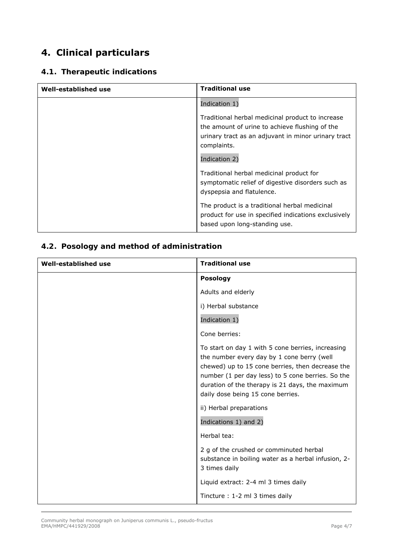# **4. Clinical particulars**

### *4.1. Therapeutic indications*

| <b>Well-established use</b> | <b>Traditional use</b>                                                                                                                                                                    |
|-----------------------------|-------------------------------------------------------------------------------------------------------------------------------------------------------------------------------------------|
|                             | Indication 1)                                                                                                                                                                             |
|                             | Traditional herbal medicinal product to increase<br>the amount of urine to achieve flushing of the<br>urinary tract as an adjuvant in minor urinary tract<br>complaints.<br>Indication 2) |
|                             | Traditional herbal medicinal product for<br>symptomatic relief of digestive disorders such as<br>dyspepsia and flatulence.                                                                |
|                             | The product is a traditional herbal medicinal<br>product for use in specified indications exclusively<br>based upon long-standing use.                                                    |

### *4.2. Posology and method of administration*

| Well-established use | <b>Traditional use</b>                                                                                                                                                                                                                                                                           |
|----------------------|--------------------------------------------------------------------------------------------------------------------------------------------------------------------------------------------------------------------------------------------------------------------------------------------------|
|                      | <b>Posology</b>                                                                                                                                                                                                                                                                                  |
|                      | Adults and elderly                                                                                                                                                                                                                                                                               |
|                      | i) Herbal substance                                                                                                                                                                                                                                                                              |
|                      | Indication 1)                                                                                                                                                                                                                                                                                    |
|                      | Cone berries:                                                                                                                                                                                                                                                                                    |
|                      | To start on day 1 with 5 cone berries, increasing<br>the number every day by 1 cone berry (well<br>chewed) up to 15 cone berries, then decrease the<br>number (1 per day less) to 5 cone berries. So the<br>duration of the therapy is 21 days, the maximum<br>daily dose being 15 cone berries. |
|                      | ii) Herbal preparations                                                                                                                                                                                                                                                                          |
|                      | Indications 1) and 2)                                                                                                                                                                                                                                                                            |
|                      | Herbal tea:                                                                                                                                                                                                                                                                                      |
|                      | 2 g of the crushed or comminuted herbal<br>substance in boiling water as a herbal infusion, 2-<br>3 times daily                                                                                                                                                                                  |
|                      | Liquid extract: 2-4 ml 3 times daily                                                                                                                                                                                                                                                             |
|                      | Tincture: 1-2 ml 3 times daily                                                                                                                                                                                                                                                                   |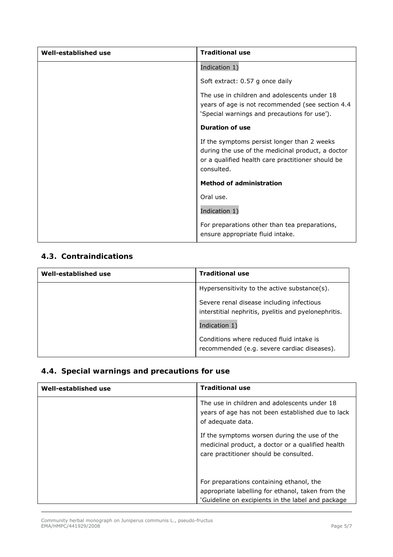| Well-established use | <b>Traditional use</b>                                                                                                                                              |
|----------------------|---------------------------------------------------------------------------------------------------------------------------------------------------------------------|
|                      | Indication 1)                                                                                                                                                       |
|                      | Soft extract: 0.57 g once daily                                                                                                                                     |
|                      | The use in children and adolescents under 18<br>years of age is not recommended (see section 4.4<br>'Special warnings and precautions for use').                    |
|                      | <b>Duration of use</b>                                                                                                                                              |
|                      | If the symptoms persist longer than 2 weeks<br>during the use of the medicinal product, a doctor<br>or a qualified health care practitioner should be<br>consulted. |
|                      | <b>Method of administration</b>                                                                                                                                     |
|                      | Oral use.                                                                                                                                                           |
|                      | Indication 1)                                                                                                                                                       |
|                      | For preparations other than tea preparations,<br>ensure appropriate fluid intake.                                                                                   |

#### *4.3. Contraindications*

| Well-established use | <b>Traditional use</b>                                                                            |
|----------------------|---------------------------------------------------------------------------------------------------|
|                      | Hypersensitivity to the active substance(s).                                                      |
|                      | Severe renal disease including infectious<br>interstitial nephritis, pyelitis and pyelonephritis. |
|                      | Indication 1)                                                                                     |
|                      | Conditions where reduced fluid intake is<br>recommended (e.g. severe cardiac diseases).           |

## *4.4. Special warnings and precautions for use*

| Well-established use | <b>Traditional use</b>                                                                                                                             |
|----------------------|----------------------------------------------------------------------------------------------------------------------------------------------------|
|                      | The use in children and adolescents under 18<br>years of age has not been established due to lack<br>of adequate data.                             |
|                      | If the symptoms worsen during the use of the<br>medicinal product, a doctor or a qualified health<br>care practitioner should be consulted.        |
|                      | For preparations containing ethanol, the<br>appropriate labelling for ethanol, taken from the<br>'Guideline on excipients in the label and package |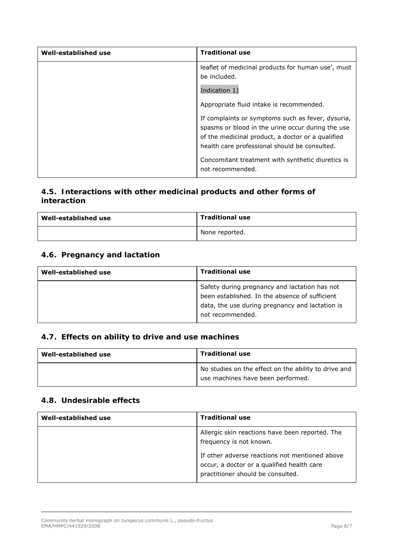| Well-established use | <b>Traditional use</b>                                                                                                                                                                                       |
|----------------------|--------------------------------------------------------------------------------------------------------------------------------------------------------------------------------------------------------------|
|                      | leaflet of medicinal products for human use', must<br>be included.                                                                                                                                           |
|                      | Indication 1)                                                                                                                                                                                                |
|                      | Appropriate fluid intake is recommended.                                                                                                                                                                     |
|                      | If complaints or symptoms such as fever, dysuria,<br>spasms or blood in the urine occur during the use<br>of the medicinal product, a doctor or a qualified<br>health care professional should be consulted. |
|                      | Concomitant treatment with synthetic diuretics is<br>not recommended.                                                                                                                                        |

### *4.5. Interactions with other medicinal products and other forms of interaction*

| Well-established use | <b>Traditional use</b> |
|----------------------|------------------------|
|                      | None reported.         |

#### *4.6. Pregnancy and lactation*

| Well-established use | <b>Traditional use</b>                                                                                                                                                 |
|----------------------|------------------------------------------------------------------------------------------------------------------------------------------------------------------------|
|                      | Safety during pregnancy and lactation has not<br>been established. In the absence of sufficient<br>data, the use during pregnancy and lactation is<br>not recommended. |

### *4.7. Effects on ability to drive and use machines*

| Well-established use | <b>Traditional use</b>                                                                    |
|----------------------|-------------------------------------------------------------------------------------------|
|                      | No studies on the effect on the ability to drive and<br>use machines have been performed. |

#### *4.8. Undesirable effects*

| Well-established use | <b>Traditional use</b>                                                                                                            |
|----------------------|-----------------------------------------------------------------------------------------------------------------------------------|
|                      | Allergic skin reactions have been reported. The<br>frequency is not known.                                                        |
|                      | If other adverse reactions not mentioned above<br>occur, a doctor or a qualified health care<br>practitioner should be consulted. |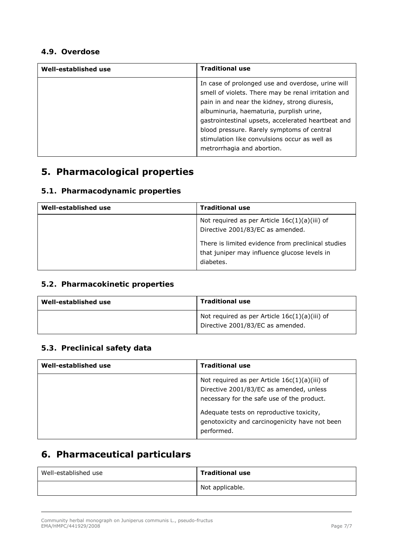#### *4.9. Overdose*

| Well-established use | <b>Traditional use</b>                                                                                                                                                                                                                                                                                                                                                                   |
|----------------------|------------------------------------------------------------------------------------------------------------------------------------------------------------------------------------------------------------------------------------------------------------------------------------------------------------------------------------------------------------------------------------------|
|                      | In case of prolonged use and overdose, urine will<br>smell of violets. There may be renal irritation and<br>pain in and near the kidney, strong diuresis,<br>albuminuria, haematuria, purplish urine,<br>gastrointestinal upsets, accelerated heartbeat and<br>blood pressure. Rarely symptoms of central<br>stimulation like convulsions occur as well as<br>metrorrhagia and abortion. |

# **5. Pharmacological properties**

### *5.1. Pharmacodynamic properties*

| Well-established use | <b>Traditional use</b>                                                                                          |
|----------------------|-----------------------------------------------------------------------------------------------------------------|
|                      | Not required as per Article $16c(1)(a)(iii)$ of<br>Directive 2001/83/EC as amended.                             |
|                      | There is limited evidence from preclinical studies<br>that juniper may influence glucose levels in<br>diabetes. |

#### *5.2. Pharmacokinetic properties*

| Well-established use | <b>Traditional use</b>                                                              |
|----------------------|-------------------------------------------------------------------------------------|
|                      | Not required as per Article $16c(1)(a)(iii)$ of<br>Directive 2001/83/EC as amended. |

#### *5.3. Preclinical safety data*

| Well-established use | <b>Traditional use</b>                                                                                                                   |
|----------------------|------------------------------------------------------------------------------------------------------------------------------------------|
|                      | Not required as per Article $16c(1)(a)(iii)$ of<br>Directive 2001/83/EC as amended, unless<br>necessary for the safe use of the product. |
|                      | Adequate tests on reproductive toxicity,<br>genotoxicity and carcinogenicity have not been<br>performed.                                 |

# **6. Pharmaceutical particulars**

| Well-established use | <b>Traditional use</b> |
|----------------------|------------------------|
|                      | Not applicable.        |